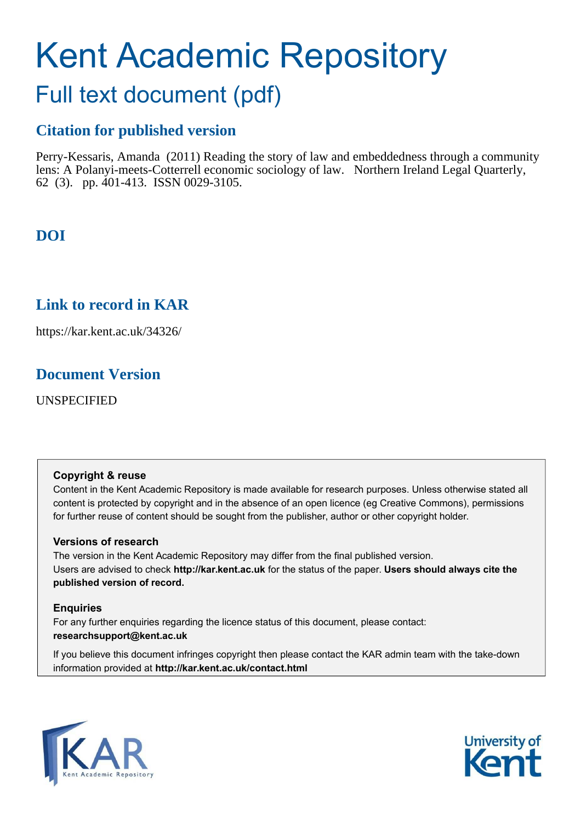# Kent Academic Repository

# Full text document (pdf)

## **Citation for published version**

Perry-Kessaris, Amanda (2011) Reading the story of law and embeddedness through a community lens: A Polanyi-meets-Cotterrell economic sociology of law. Northern Ireland Legal Quarterly, 62 (3). pp. 401-413. ISSN 0029-3105.

# **DOI**

### **Link to record in KAR**

https://kar.kent.ac.uk/34326/

### **Document Version**

UNSPECIFIED

### **Copyright & reuse**

Content in the Kent Academic Repository is made available for research purposes. Unless otherwise stated all content is protected by copyright and in the absence of an open licence (eg Creative Commons), permissions for further reuse of content should be sought from the publisher, author or other copyright holder.

### **Versions of research**

The version in the Kent Academic Repository may differ from the final published version. Users are advised to check **http://kar.kent.ac.uk** for the status of the paper. **Users should always cite the published version of record.**

### **Enquiries**

For any further enquiries regarding the licence status of this document, please contact: **researchsupport@kent.ac.uk**

If you believe this document infringes copyright then please contact the KAR admin team with the take-down information provided at **http://kar.kent.ac.uk/contact.html**



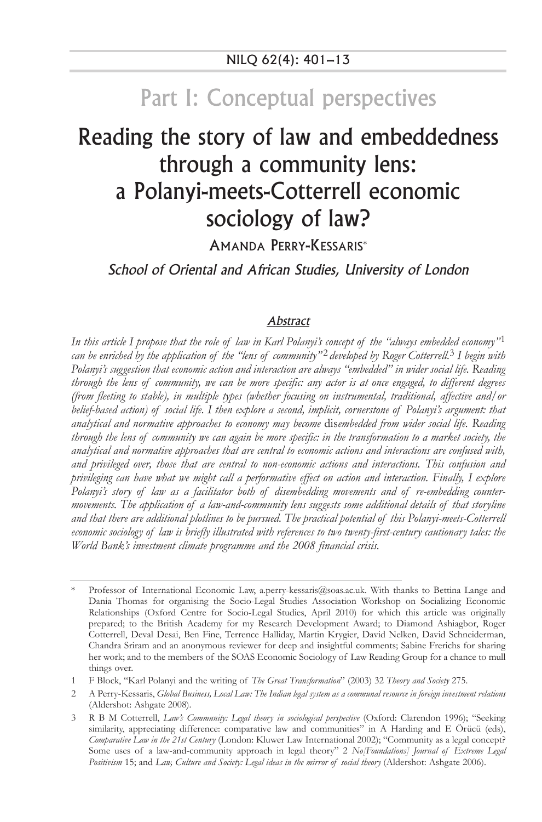# Part I: Conceptual perspectives

# Reading the story of law and embeddedness through a community lens: a Polanyi-meets-Cotterrell economic sociology of law?

AMANDA PERRY-KESSARIS\*

School of Oriental and African Studies, University of London

#### **Abstract**

*In this article I propose that the role of law in Karl Polanyi's concept of the "always embedded economy"*1 *can be enriched by the application of the "lens of community"* 2 *developed by Roger Cotterrell.*3 *I begin with Polanyi's suggestion that economic action and interaction are always "embedded" in wider social life. Reading through the lens of community, we can be more specific: any actor is at once engaged, to different degrees (from fleeting to stable), in multiple types (whether focusing on instrumental, traditional, affective and/or belief-based action) of social life. I then explore a second, implicit, cornerstone of Polanyi's argument: that analytical and normative approaches to economy may become* dis*embedded from wider social life. Reading through the lens of community we can again be more specific: in the transformation to a market society, the analytical and normative approaches that are central to economic actions and interactions are confused with, and privileged over, those that are central to non-economic actions and interactions. This confusion and privileging can have what we might call a performative effect on action and interaction. Finally, I explore Polanyi's story of law as a facilitator both of disembedding movements and of re-embedding countermovements. The application of a law-and-community lens suggests some additional details of that storyline and that there are additional plotlines to be pursued. The practical potential of this Polanyi-meets-Cotterrell economic sociology of law is briefly illustrated with references to two twenty-first-century cautionary tales: the World Bank's investment climate programme and the 2008 financial crisis.*

Professor of International Economic Law, a.perry-kessaris@soas.ac.uk. With thanks to Bettina Lange and Dania Thomas for organising the Socio-Legal Studies Association Workshop on Socializing Economic Relationships (Oxford Centre for Socio-Legal Studies, April 2010) for which this article was originally prepared; to the British Academy for my Research Development Award; to Diamond Ashiagbor, Roger Cotterrell, Deval Desai, Ben Fine, Terrence Halliday, Martin Krygier, David Nelken, David Schneiderman, Chandra Sriram and an anonymous reviewer for deep and insightful comments; Sabine Frerichs for sharing her work; and to the members of the SOAS Economic Sociology of Law Reading Group for a chance to mull things over.

<sup>1</sup> F Block, "Karl Polanyi and the writing of *The Great Transformation*" (2003) 32 *Theory and Society* 275.

<sup>2</sup> A Perry-Kessaris, *Global Business, Local Law: The Indian legal system as a communal resource in foreign investment relations* (Aldershot: Ashgate 2008).

<sup>3</sup> R B M Cotterrell, *Law's Community: Legal theory in sociological perspective* (Oxford: Clarendon 1996); "Seeking similarity, appreciating difference: comparative law and communities" in A Harding and E Örücü (eds), *Comparative Law in the 21st Century* (London: Kluwer Law International 2002); "Community as a legal concept? Some uses of a law-and-community approach in legal theory" 2 *No*/Foundations] Journal of Extreme Legal *Positivism* 15; and *Law, Culture and Society: Legal ideas in the mirror of social theory* (Aldershot: Ashgate 2006).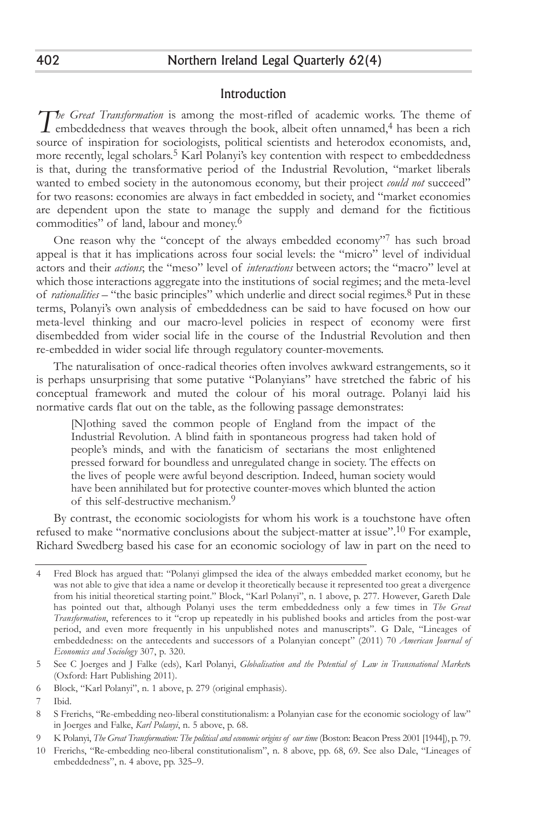### Introduction

*The Great Transformation* is among the most-rifled of academic works. The theme of embeddedness that weaves through the book, albeit often unnamed,<sup>4</sup> has been a rich I embeddedness that weaves through the book, albeit often unnamed,<sup>4</sup> has been a rich source of inspiration for sociologists, political scientists and heterodox economists, and, more recently, legal scholars.5 Karl Polanyi's key contention with respect to embeddedness is that, during the transformative period of the Industrial Revolution, "market liberals wanted to embed society in the autonomous economy, but their project *could not* succeed" for two reasons: economies are always in fact embedded in society, and "market economies are dependent upon the state to manage the supply and demand for the fictitious commodities" of land, labour and money.6

One reason why the "concept of the always embedded economy"7 has such broad appeal is that it has implications across four social levels: the "micro" level of individual actors and their *actions*; the "meso" level of *interactions* between actors; the "macro" level at which those interactions aggregate into the institutions of social regimes; and the meta-level of *rationalities* – "the basic principles" which underlie and direct social regimes.8 Put in these terms, Polanyi's own analysis of embeddedness can be said to have focused on how our meta-level thinking and our macro-level policies in respect of economy were first disembedded from wider social life in the course of the Industrial Revolution and then re-embedded in wider social life through regulatory counter-movements.

The naturalisation of once-radical theories often involves awkward estrangements, so it is perhaps unsurprising that some putative "Polanyians" have stretched the fabric of his conceptual framework and muted the colour of his moral outrage. Polanyi laid his normative cards flat out on the table, as the following passage demonstrates:

[N]othing saved the common people of England from the impact of the Industrial Revolution. A blind faith in spontaneous progress had taken hold of people's minds, and with the fanaticism of sectarians the most enlightened pressed forward for boundless and unregulated change in society. The effects on the lives of people were awful beyond description. Indeed, human society would have been annihilated but for protective counter-moves which blunted the action of this self-destructive mechanism.9

By contrast, the economic sociologists for whom his work is a touchstone have often refused to make "normative conclusions about the subject-matter at issue".10 For example, Richard Swedberg based his case for an economic sociology of law in part on the need to

<sup>4</sup> Fred Block has argued that: "Polanyi glimpsed the idea of the always embedded market economy, but he was not able to give that idea a name or develop it theoretically because it represented too great a divergence from his initial theoretical starting point." Block, "Karl Polanyi", n. 1 above, p. 277. However, Gareth Dale has pointed out that, although Polanyi uses the term embeddedness only a few times in *The Great Transformation*, references to it "crop up repeatedly in his published books and articles from the post-war period, and even more frequently in his unpublished notes and manuscripts". G Dale, "Lineages of embeddedness: on the antecedents and successors of a Polanyian concept" (2011) 70 *American Journal of Economics and Sociology* 307, p. 320.

<sup>5</sup> See C Joerges and J Falke (eds), Karl Polanyi, *Globalisation and the Potential of Law in Transnational Market*s (Oxford: Hart Publishing 2011).

<sup>6</sup> Block, "Karl Polanyi", n. 1 above, p. 279 (original emphasis).

<sup>7</sup> Ibid.

<sup>8</sup> S Frerichs, "Re-embedding neo-liberal constitutionalism: a Polanyian case for the economic sociology of law" in Joerges and Falke, *Karl Polanyi*, n. 5 above, p. 68.

<sup>9</sup> K Polanyi, *The Great Transformation: The political and economic origins of our time* (Boston: Beacon Press 2001 [1944]), p. 79.

<sup>10</sup> Frerichs, "Re-embedding neo-liberal constitutionalism", n. 8 above, pp. 68, 69. See also Dale, "Lineages of embeddedness", n. 4 above, pp. 325–9.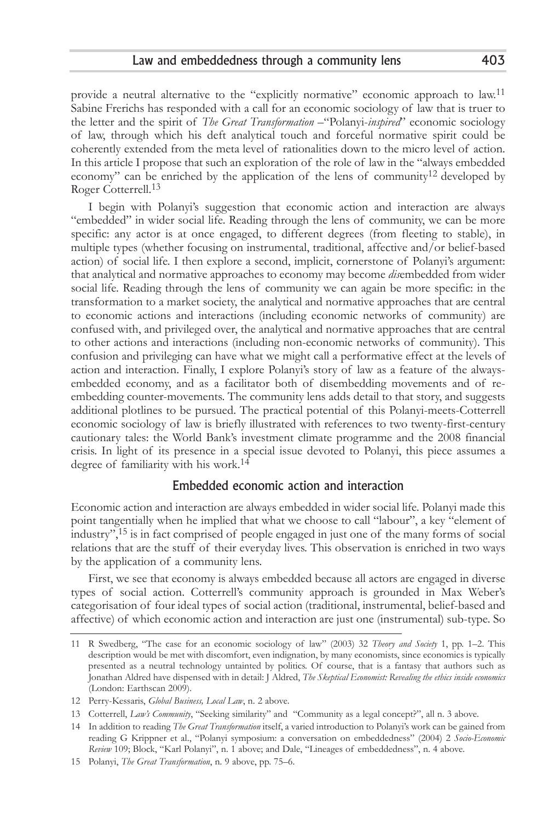provide a neutral alternative to the "explicitly normative" economic approach to law.<sup>11</sup> Sabine Frerichs has responded with a call for an economic sociology of law that is truer to the letter and the spirit of *The Great Transformation* –"Polanyi-*inspired*" economic sociology of law, through which his deft analytical touch and forceful normative spirit could be coherently extended from the meta level of rationalities down to the micro level of action. In this article I propose that such an exploration of the role of law in the "always embedded economy" can be enriched by the application of the lens of community<sup>12</sup> developed by Roger Cotterrell.<sup>13</sup>

I begin with Polanyi's suggestion that economic action and interaction are always "embedded" in wider social life. Reading through the lens of community, we can be more specific: any actor is at once engaged, to different degrees (from fleeting to stable), in multiple types (whether focusing on instrumental, traditional, affective and/or belief-based action) of social life. I then explore a second, implicit, cornerstone of Polanyi's argument: that analytical and normative approaches to economy may become *dis*embedded from wider social life. Reading through the lens of community we can again be more specific: in the transformation to a market society, the analytical and normative approaches that are central to economic actions and interactions (including economic networks of community) are confused with, and privileged over, the analytical and normative approaches that are central to other actions and interactions (including non-economic networks of community). This confusion and privileging can have what we might call a performative effect at the levels of action and interaction. Finally, I explore Polanyi's story of law as a feature of the alwaysembedded economy, and as a facilitator both of disembedding movements and of reembedding counter-movements. The community lens adds detail to that story, and suggests additional plotlines to be pursued. The practical potential of this Polanyi-meets-Cotterrell economic sociology of law is briefly illustrated with references to two twenty-first-century cautionary tales: the World Bank's investment climate programme and the 2008 financial crisis. In light of its presence in a special issue devoted to Polanyi, this piece assumes a degree of familiarity with his work.14

### Embedded economic action and interaction

Economic action and interaction are always embedded in wider social life. Polanyi made this point tangentially when he implied that what we choose to call "labour", a key "element of industry",15 is in fact comprised of people engaged in just one of the many forms of social relations that are the stuff of their everyday lives. This observation is enriched in two ways by the application of a community lens.

First, we see that economy is always embedded because all actors are engaged in diverse types of social action. Cotterrell's community approach is grounded in Max Weber's categorisation of four ideal types of social action (traditional, instrumental, belief-based and affective) of which economic action and interaction are just one (instrumental) sub-type. So

<sup>11</sup> R Swedberg, "The case for an economic sociology of law" (2003) 32 *Theory and Society* 1, pp. 1–2. This description would be met with discomfort, even indignation, by many economists, since economics is typically presented as a neutral technology untainted by politics. Of course, that is a fantasy that authors such as Jonathan Aldred have dispensed with in detail: J Aldred, *The Skeptical Economist: Revealing the ethics inside economics* (London: Earthscan 2009).

<sup>12</sup> Perry-Kessaris, *Global Business, Local Law*, n. 2 above.

<sup>13</sup> Cotterrell, *Law's Community*, "Seeking similarity" and "Community as a legal concept?", all n. 3 above.

<sup>14</sup> In addition to reading *The Great Transformation* itself, a varied introduction to Polanyi's work can be gained from reading G Krippner et al., "Polanyi symposium: a conversation on embeddedness" (2004) 2 *Socio-Economic Review* 109; Block, "Karl Polanyi", n. 1 above; and Dale, "Lineages of embeddedness", n. 4 above.

<sup>15</sup> Polanyi, *The Great Transformation*, n. 9 above, pp. 75–6.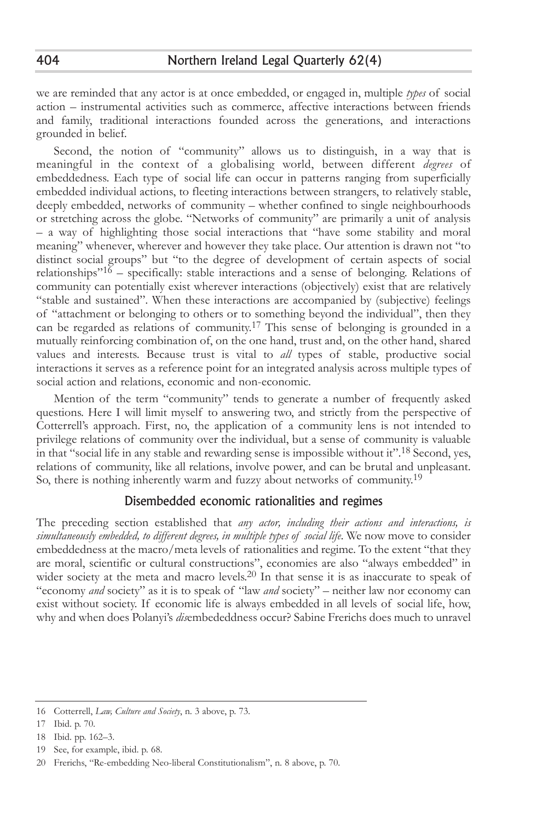we are reminded that any actor is at once embedded, or engaged in, multiple *types* of social action – instrumental activities such as commerce, affective interactions between friends and family, traditional interactions founded across the generations, and interactions grounded in belief.

Second, the notion of "community" allows us to distinguish, in a way that is meaningful in the context of a globalising world, between different *degrees* of embeddedness. Each type of social life can occur in patterns ranging from superficially embedded individual actions, to fleeting interactions between strangers, to relatively stable, deeply embedded, networks of community – whether confined to single neighbourhoods or stretching across the globe. "Networks of community" are primarily a unit of analysis – a way of highlighting those social interactions that "have some stability and moral meaning" whenever, wherever and however they take place. Our attention is drawn not "to distinct social groups" but "to the degree of development of certain aspects of social relationships<sup>"16</sup> – specifically: stable interactions and a sense of belonging. Relations of community can potentially exist wherever interactions (objectively) exist that are relatively "stable and sustained". When these interactions are accompanied by (subjective) feelings of "attachment or belonging to others or to something beyond the individual", then they can be regarded as relations of community.<sup>17</sup> This sense of belonging is grounded in a mutually reinforcing combination of, on the one hand, trust and, on the other hand, shared values and interests. Because trust is vital to *all* types of stable, productive social interactions it serves as a reference point for an integrated analysis across multiple types of social action and relations, economic and non-economic.

Mention of the term "community" tends to generate a number of frequently asked questions. Here I will limit myself to answering two, and strictly from the perspective of Cotterrell's approach. First, no, the application of a community lens is not intended to privilege relations of community over the individual, but a sense of community is valuable in that "social life in any stable and rewarding sense is impossible without it".18 Second, yes, relations of community, like all relations, involve power, and can be brutal and unpleasant. So, there is nothing inherently warm and fuzzy about networks of community.<sup>19</sup>

### Disembedded economic rationalities and regimes

The preceding section established that *any actor, including their actions and interactions, is simultaneously embedded, to different degrees, in multiple types of social life*. We now move to consider embeddedness at the macro/meta levels of rationalities and regime. To the extent "that they are moral, scientific or cultural constructions", economies are also "always embedded" in wider society at the meta and macro levels.<sup>20</sup> In that sense it is as inaccurate to speak of "economy *and* society" as it is to speak of "law *and* society" – neither law nor economy can exist without society. If economic life is always embedded in all levels of social life, how, why and when does Polanyi's *dis*embededdness occur? Sabine Frerichs does much to unravel

<sup>16</sup> Cotterrell, *Law, Culture and Society*, n. 3 above, p. 73.

<sup>17</sup> Ibid. p. 70.

<sup>18</sup> Ibid. pp. 162–3.

<sup>19</sup> See, for example, ibid. p. 68.

<sup>20</sup> Frerichs, "Re-embedding Neo-liberal Constitutionalism", n. 8 above, p. 70.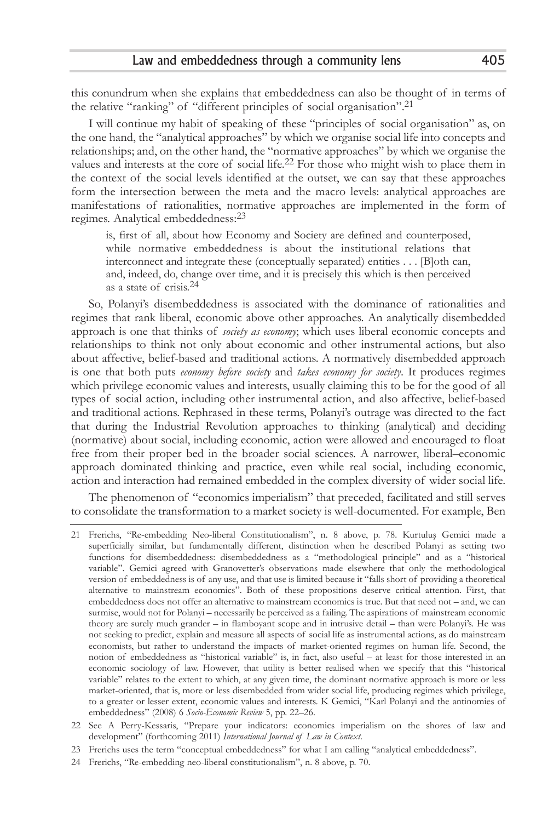this conundrum when she explains that embeddedness can also be thought of in terms of the relative "ranking" of "different principles of social organisation".21

I will continue my habit of speaking of these "principles of social organisation" as, on the one hand, the "analytical approaches" by which we organise social life into concepts and relationships; and, on the other hand, the "normative approaches" by which we organise the values and interests at the core of social life.<sup>22</sup> For those who might wish to place them in the context of the social levels identified at the outset, we can say that these approaches form the intersection between the meta and the macro levels: analytical approaches are manifestations of rationalities, normative approaches are implemented in the form of regimes. Analytical embeddedness:23

is, first of all, about how Economy and Society are defined and counterposed, while normative embeddedness is about the institutional relations that interconnect and integrate these (conceptually separated) entities . . . [B]oth can, and, indeed, do, change over time, and it is precisely this which is then perceived as a state of crisis.24

So, Polanyi's disembeddedness is associated with the dominance of rationalities and regimes that rank liberal, economic above other approaches. An analytically disembedded approach is one that thinks of *society as economy*; which uses liberal economic concepts and relationships to think not only about economic and other instrumental actions, but also about affective, belief-based and traditional actions. A normatively disembedded approach is one that both puts *economy before society* and *takes economy for society*. It produces regimes which privilege economic values and interests, usually claiming this to be for the good of all types of social action, including other instrumental action, and also affective, belief-based and traditional actions. Rephrased in these terms, Polanyi's outrage was directed to the fact that during the Industrial Revolution approaches to thinking (analytical) and deciding (normative) about social, including economic, action were allowed and encouraged to float free from their proper bed in the broader social sciences. A narrower, liberal–economic approach dominated thinking and practice, even while real social, including economic, action and interaction had remained embedded in the complex diversity of wider social life.

The phenomenon of "economics imperialism" that preceded, facilitated and still serves to consolidate the transformation to a market society is well-documented. For example, Ben

<sup>21</sup> Frerichs, "Re-embedding Neo-liberal Constitutionalism", n. 8 above, p. 78. Kurtulus Gemici made a superficially similar, but fundamentally different, distinction when he described Polanyi as setting two functions for disembeddedness: disembeddedness as a "methodological principle" and as a "historical variable". Gemici agreed with Granovetter's observations made elsewhere that only the methodological version of embeddedness is of any use, and that use is limited because it "falls short of providing a theoretical alternative to mainstream economics". Both of these propositions deserve critical attention. First, that embeddedness does not offer an alternative to mainstream economics is true. But that need not – and, we can surmise, would not for Polanyi – necessarily be perceived as a failing. The aspirations of mainstream economic theory are surely much grander – in flamboyant scope and in intrusive detail – than were Polanyi's. He was not seeking to predict, explain and measure all aspects of social life as instrumental actions, as do mainstream economists, but rather to understand the impacts of market-oriented regimes on human life. Second, the notion of embeddedness as "historical variable" is, in fact, also useful – at least for those interested in an economic sociology of law. However, that utility is better realised when we specify that this "historical variable" relates to the extent to which, at any given time, the dominant normative approach is more or less market-oriented, that is, more or less disembedded from wider social life, producing regimes which privilege, to a greater or lesser extent, economic values and interests. K Gemici, "Karl Polanyi and the antinomies of embeddedness" (2008) 6 *Socio-Economic Review* 5, pp. 22–26.

<sup>22</sup> See A Perry-Kessaris, "Prepare your indicators: economics imperialism on the shores of law and development" (forthcoming 2011) *International Journal of Law in Context*.

<sup>23</sup> Frerichs uses the term "conceptual embeddedness" for what I am calling "analytical embeddedness".

<sup>24</sup> Frerichs, "Re-embedding neo-liberal constitutionalism", n. 8 above, p. 70.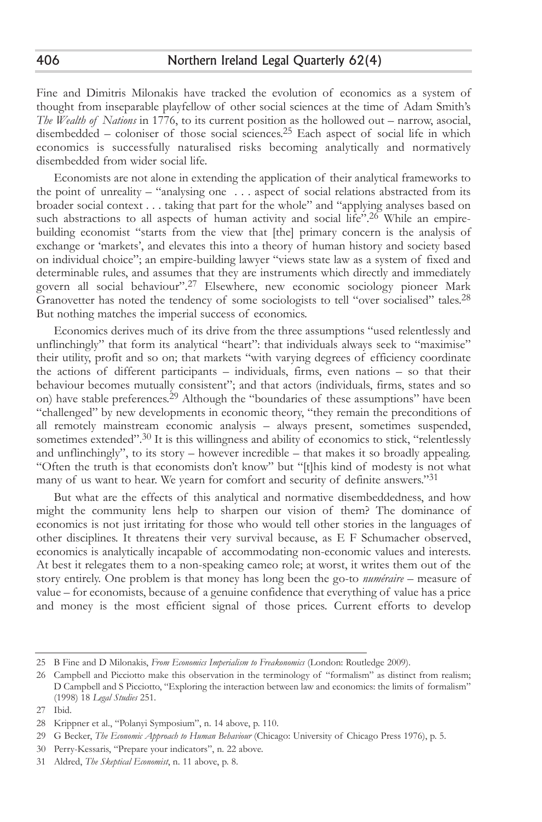Fine and Dimitris Milonakis have tracked the evolution of economics as a system of thought from inseparable playfellow of other social sciences at the time of Adam Smith's *The Wealth of Nations* in 1776, to its current position as the hollowed out – narrow, asocial, disembedded – coloniser of those social sciences.25 Each aspect of social life in which economics is successfully naturalised risks becoming analytically and normatively disembedded from wider social life.

Economists are not alone in extending the application of their analytical frameworks to the point of unreality – "analysing one . . . aspect of social relations abstracted from its broader social context . . . taking that part for the whole" and "applying analyses based on such abstractions to all aspects of human activity and social life".<sup>26</sup> While an empirebuilding economist "starts from the view that [the] primary concern is the analysis of exchange or 'markets', and elevates this into a theory of human history and society based on individual choice"; an empire-building lawyer "views state law as a system of fixed and determinable rules, and assumes that they are instruments which directly and immediately govern all social behaviour".<sup>27</sup> Elsewhere, new economic sociology pioneer Mark Granovetter has noted the tendency of some sociologists to tell "over socialised" tales.<sup>28</sup> But nothing matches the imperial success of economics.

Economics derives much of its drive from the three assumptions "used relentlessly and unflinchingly" that form its analytical "heart": that individuals always seek to "maximise" their utility, profit and so on; that markets "with varying degrees of efficiency coordinate the actions of different participants – individuals, firms, even nations – so that their behaviour becomes mutually consistent"; and that actors (individuals, firms, states and so on) have stable preferences.29 Although the "boundaries of these assumptions" have been "challenged" by new developments in economic theory, "they remain the preconditions of all remotely mainstream economic analysis – always present, sometimes suspended, sometimes extended".<sup>30</sup> It is this willingness and ability of economics to stick, "relentlessly and unflinchingly", to its story – however incredible – that makes it so broadly appealing. "Often the truth is that economists don't know" but "[t]his kind of modesty is not what many of us want to hear. We yearn for comfort and security of definite answers."31

But what are the effects of this analytical and normative disembeddedness, and how might the community lens help to sharpen our vision of them? The dominance of economics is not just irritating for those who would tell other stories in the languages of other disciplines. It threatens their very survival because, as E F Schumacher observed, economics is analytically incapable of accommodating non-economic values and interests. At best it relegates them to a non-speaking cameo role; at worst, it writes them out of the story entirely. One problem is that money has long been the go-to *numéraire* – measure of value – for economists, because of a genuine confidence that everything of value has a price and money is the most efficient signal of those prices. Current efforts to develop

406

<sup>25</sup> B Fine and D Milonakis, *From Economics Imperialism to Freakonomics* (London: Routledge 2009).

<sup>26</sup> Campbell and Picciotto make this observation in the terminology of "formalism" as distinct from realism; D Campbell and S Picciotto, "Exploring the interaction between law and economics: the limits of formalism" (1998) 18 *Legal Studies* 251.

<sup>27</sup> Ibid.

<sup>28</sup> Krippner et al., "Polanyi Symposium", n. 14 above, p. 110.

<sup>29</sup> G Becker, *The Economic Approach to Human Behaviour* (Chicago: University of Chicago Press 1976), p. 5.

<sup>30</sup> Perry-Kessaris, "Prepare your indicators", n. 22 above.

<sup>31</sup> Aldred, *The Skeptical Economist*, n. 11 above, p. 8.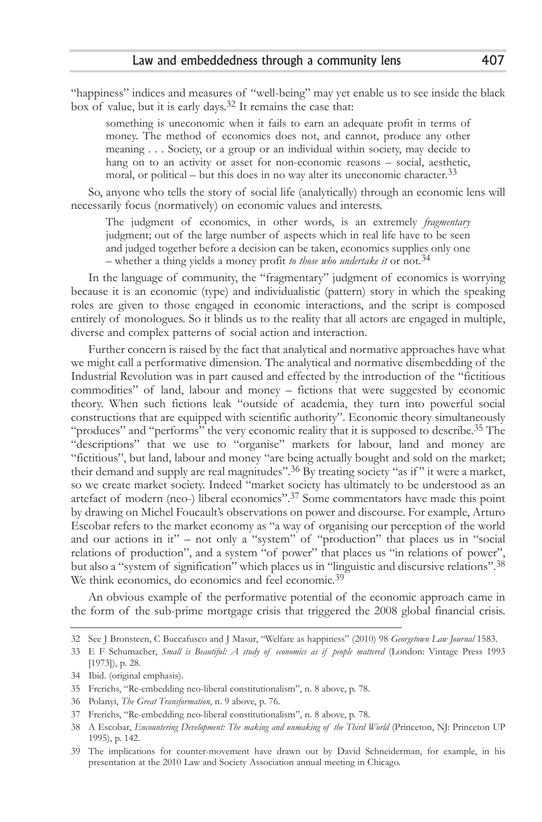"happiness" indices and measures of "well-being" may yet enable us to see inside the black box of value, but it is early days.32 It remains the case that:

something is uneconomic when it fails to earn an adequate profit in terms of money. The method of economics does not, and cannot, produce any other meaning . . . Society, or a group or an individual within society, may decide to hang on to an activity or asset for non-economic reasons – social, aesthetic, moral, or political – but this does in no way alter its uneconomic character.<sup>33</sup>

So, anyone who tells the story of social life (analytically) through an economic lens will necessarily focus (normatively) on economic values and interests.

The judgment of economics, in other words, is an extremely *fragmentary* judgment; out of the large number of aspects which in real life have to be seen and judged together before a decision can be taken, economics supplies only one – whether a thing yields a money profit *to those who undertake it* or not.34

In the language of community, the "fragmentary" judgment of economics is worrying because it is an economic (type) and individualistic (pattern) story in which the speaking roles are given to those engaged in economic interactions, and the script is composed entirely of monologues. So it blinds us to the reality that all actors are engaged in multiple, diverse and complex patterns of social action and interaction.

Further concern is raised by the fact that analytical and normative approaches have what we might call a performative dimension. The analytical and normative disembedding of the Industrial Revolution was in part caused and effected by the introduction of the "fictitious commodities" of land, labour and money – fictions that were suggested by economic theory. When such fictions leak "outside of academia, they turn into powerful social constructions that are equipped with scientific authority". Economic theory simultaneously "produces" and "performs" the very economic reality that it is supposed to describe.35 The "descriptions" that we use to "organise" markets for labour, land and money are "fictitious", but land, labour and money "are being actually bought and sold on the market; their demand and supply are real magnitudes".<sup>36</sup> By treating society "as if" it were a market, so we create market society. Indeed "market society has ultimately to be understood as an artefact of modern (neo-) liberal economics".37 Some commentators have made this point by drawing on Michel Foucault's observations on power and discourse. For example, Arturo Escobar refers to the market economy as "a way of organising our perception of the world and our actions in  $it''$  – not only a "system" of "production" that places us in "social relations of production", and a system "of power" that places us "in relations of power", but also a "system of signification" which places us in "linguistic and discursive relations".38 We think economics, do economics and feel economic.<sup>39</sup>

An obvious example of the performative potential of the economic approach came in the form of the sub-prime mortgage crisis that triggered the 2008 global financial crisis.

<sup>32</sup> See J Bronsteen, C Buccafusco and J Masur, "Welfare as happiness" (2010) 98 *Georgetown Law Journal* 1583.

<sup>33</sup> E F Schumacher, *Small is Beautiful: A study of economics as if people mattered* (London: Vintage Press 1993 [1973]), p. 28.

<sup>34</sup> Ibid. (original emphasis).

<sup>35</sup> Frerichs, "Re-embedding neo-liberal constitutionalism", n. 8 above, p. 78.

<sup>36</sup> Polanyi, *The Great Transformation*, n. 9 above, p. 76.

<sup>37</sup> Frerichs, "Re-embedding neo-liberal constitutionalism", n. 8 above, p. 78.

<sup>38</sup> A Escobar, *Encountering Development: The making and unmaking of the Third World* (Princeton, NJ: Princeton UP 1995), p. 142.

<sup>39</sup> The implications for counter-movement have drawn out by David Schneiderman, for example, in his presentation at the 2010 Law and Society Association annual meeting in Chicago.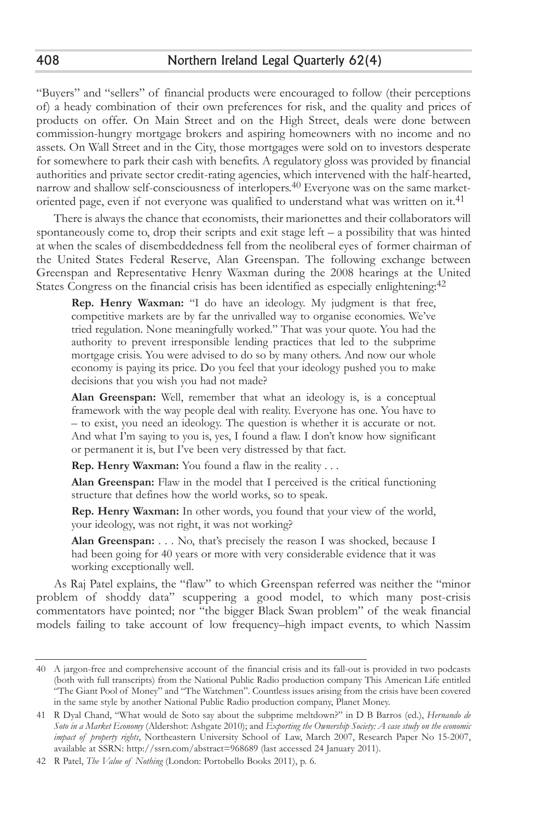"Buyers" and "sellers" of financial products were encouraged to follow (their perceptions of) a heady combination of their own preferences for risk, and the quality and prices of products on offer. On Main Street and on the High Street, deals were done between commission-hungry mortgage brokers and aspiring homeowners with no income and no assets. On Wall Street and in the City, those mortgages were sold on to investors desperate for somewhere to park their cash with benefits. A regulatory gloss was provided by financial authorities and private sector credit-rating agencies, which intervened with the half-hearted, narrow and shallow self-consciousness of interlopers.40 Everyone was on the same marketoriented page, even if not everyone was qualified to understand what was written on it.41

There is always the chance that economists, their marionettes and their collaborators will spontaneously come to, drop their scripts and exit stage left – a possibility that was hinted at when the scales of disembeddedness fell from the neoliberal eyes of former chairman of the United States Federal Reserve, Alan Greenspan. The following exchange between Greenspan and Representative Henry Waxman during the 2008 hearings at the United States Congress on the financial crisis has been identified as especially enlightening:<sup>42</sup>

**Rep. Henry Waxman:** "I do have an ideology. My judgment is that free, competitive markets are by far the unrivalled way to organise economies. We've tried regulation. None meaningfully worked." That was your quote. You had the authority to prevent irresponsible lending practices that led to the subprime mortgage crisis. You were advised to do so by many others. And now our whole economy is paying its price. Do you feel that your ideology pushed you to make decisions that you wish you had not made?

**Alan Greenspan:** Well, remember that what an ideology is, is a conceptual framework with the way people deal with reality. Everyone has one. You have to – to exist, you need an ideology. The question is whether it is accurate or not. And what I'm saying to you is, yes, I found a flaw. I don't know how significant or permanent it is, but I've been very distressed by that fact.

**Rep. Henry Waxman:** You found a flaw in the reality . . .

**Alan Greenspan:** Flaw in the model that I perceived is the critical functioning structure that defines how the world works, so to speak.

**Rep. Henry Waxman:** In other words, you found that your view of the world, your ideology, was not right, it was not working?

**Alan Greenspan:** . . . No, that's precisely the reason I was shocked, because I had been going for 40 years or more with very considerable evidence that it was working exceptionally well.

As Raj Patel explains, the "flaw" to which Greenspan referred was neither the "minor problem of shoddy data" scuppering a good model, to which many post-crisis commentators have pointed; nor "the bigger Black Swan problem" of the weak financial models failing to take account of low frequency–high impact events, to which Nassim

<sup>40</sup> A jargon-free and comprehensive account of the financial crisis and its fall-out is provided in two podcasts (both with full transcripts) from the National Public Radio production company This American Life entitled "The Giant Pool of Money" and "The Watchmen". Countless issues arising from the crisis have been covered in the same style by another National Public Radio production company, Planet Money.

<sup>41</sup> R Dyal Chand, "What would de Soto say about the subprime meltdown?" in D B Barros (ed.), *Hernando de Soto in a Market Economy* (Aldershot: Ashgate 2010); and *Exporting the Ownership Society: A case study on the economic impact of property rights*, Northeastern University School of Law, March 2007, Research Paper No 15-2007, available at SSRN: http://ssrn.com/abstract=968689 (last accessed 24 January 2011).

<sup>42</sup> R Patel, *The Value of Nothing* (London: Portobello Books 2011), p. 6.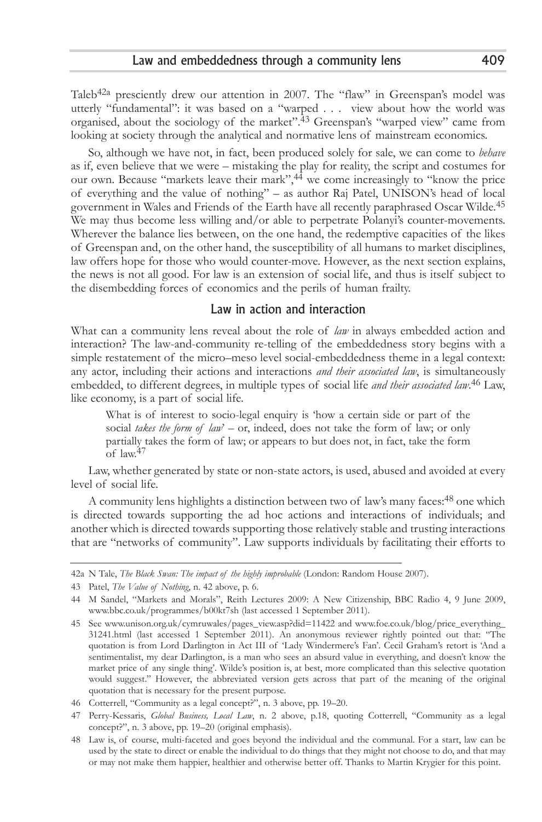Taleb<sup>42a</sup> presciently drew our attention in 2007. The "flaw" in Greenspan's model was utterly "fundamental": it was based on a "warped . . . view about how the world was organised, about the sociology of the market".43 Greenspan's "warped view" came from looking at society through the analytical and normative lens of mainstream economics.

So, although we have not, in fact, been produced solely for sale, we can come to *behave* as if, even believe that we were – mistaking the play for reality, the script and costumes for our own. Because "markets leave their mark",44 we come increasingly to "know the price of everything and the value of nothing" – as author Raj Patel, UNISON's head of local government in Wales and Friends of the Earth have all recently paraphrased Oscar Wilde.45 We may thus become less willing and/or able to perpetrate Polanyi's counter-movements. Wherever the balance lies between, on the one hand, the redemptive capacities of the likes of Greenspan and, on the other hand, the susceptibility of all humans to market disciplines, law offers hope for those who would counter-move. However, as the next section explains, the news is not all good. For law is an extension of social life, and thus is itself subject to the disembedding forces of economics and the perils of human frailty.

### Law in action and interaction

What can a community lens reveal about the role of *law* in always embedded action and interaction? The law-and-community re-telling of the embeddedness story begins with a simple restatement of the micro–meso level social-embeddedness theme in a legal context: any actor, including their actions and interactions *and their associated law*, is simultaneously embedded, to different degrees, in multiple types of social life *and their associated law*. 46 Law, like economy, is a part of social life.

What is of interest to socio-legal enquiry is 'how a certain side or part of the social *takes the form of law*' – or, indeed, does not take the form of law; or only partially takes the form of law; or appears to but does not, in fact, take the form of law.47

Law, whether generated by state or non-state actors, is used, abused and avoided at every level of social life.

A community lens highlights a distinction between two of law's many faces:48 one which is directed towards supporting the ad hoc actions and interactions of individuals; and another which is directed towards supporting those relatively stable and trusting interactions that are "networks of community". Law supports individuals by facilitating their efforts to

<sup>42</sup>a N Tale, *The Black Swan: The impact of the highly improbable* (London: Random House 2007).

<sup>43</sup> Patel, *The Value of Nothing*, n. 42 above, p. 6.

<sup>44</sup> M Sandel, "Markets and Morals", Reith Lectures 2009: A New Citizenship, BBC Radio 4, 9 June 2009, www.bbc.co.uk/programmes/b00kt7sh (last accessed 1 September 2011).

<sup>45</sup> See www.unison.org.uk/cymruwales/pages\_view.asp?did=11422 and www.foe.co.uk/blog/price\_everything\_ 31241.html (last accessed 1 September 2011). An anonymous reviewer rightly pointed out that: "The quotation is from Lord Darlington in Act III of 'Lady Windermere's Fan'. Cecil Graham's retort is 'And a sentimentalist, my dear Darlington, is a man who sees an absurd value in everything, and doesn't know the market price of any single thing'. Wilde's position is, at best, more complicated than this selective quotation would suggest." However, the abbreviated version gets across that part of the meaning of the original quotation that is necessary for the present purpose.

<sup>46</sup> Cotterrell, "Community as a legal concept?", n. 3 above, pp. 19–20.

<sup>47</sup> Perry-Kessaris, *Global Business, Local Law*, n. 2 above, p.18, quoting Cotterrell, "Community as a legal concept?", n. 3 above, pp. 19–20 (original emphasis).

<sup>48</sup> Law is, of course, multi-faceted and goes beyond the individual and the communal. For a start, law can be used by the state to direct or enable the individual to do things that they might not choose to do, and that may or may not make them happier, healthier and otherwise better off. Thanks to Martin Krygier for this point.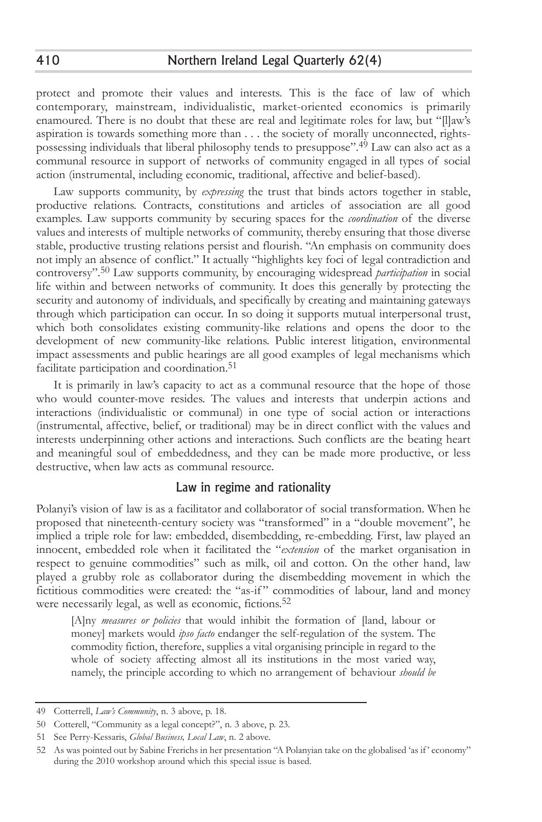protect and promote their values and interests. This is the face of law of which contemporary, mainstream, individualistic, market-oriented economics is primarily enamoured. There is no doubt that these are real and legitimate roles for law, but "[l]aw's aspiration is towards something more than . . . the society of morally unconnected, rightspossessing individuals that liberal philosophy tends to presuppose". 49 Law can also act as a communal resource in support of networks of community engaged in all types of social action (instrumental, including economic, traditional, affective and belief-based).

Law supports community, by *expressing* the trust that binds actors together in stable, productive relations. Contracts, constitutions and articles of association are all good examples. Law supports community by securing spaces for the *coordination* of the diverse values and interests of multiple networks of community, thereby ensuring that those diverse stable, productive trusting relations persist and flourish. "An emphasis on community does not imply an absence of conflict." It actually "highlights key foci of legal contradiction and controversy".50 Law supports community, by encouraging widespread *participation* in social life within and between networks of community. It does this generally by protecting the security and autonomy of individuals, and specifically by creating and maintaining gateways through which participation can occur. In so doing it supports mutual interpersonal trust, which both consolidates existing community-like relations and opens the door to the development of new community-like relations. Public interest litigation, environmental impact assessments and public hearings are all good examples of legal mechanisms which facilitate participation and coordination.<sup>51</sup>

It is primarily in law's capacity to act as a communal resource that the hope of those who would counter-move resides. The values and interests that underpin actions and interactions (individualistic or communal) in one type of social action or interactions (instrumental, affective, belief, or traditional) may be in direct conflict with the values and interests underpinning other actions and interactions. Such conflicts are the beating heart and meaningful soul of embeddedness, and they can be made more productive, or less destructive, when law acts as communal resource.

### Law in regime and rationality

Polanyi's vision of law is as a facilitator and collaborator of social transformation. When he proposed that nineteenth-century society was "transformed" in a "double movement", he implied a triple role for law: embedded, disembedding, re-embedding. First, law played an innocent, embedded role when it facilitated the "*extension* of the market organisation in respect to genuine commodities" such as milk, oil and cotton. On the other hand, law played a grubby role as collaborator during the disembedding movement in which the fictitious commodities were created: the "as-if " commodities of labour, land and money were necessarily legal, as well as economic, fictions.<sup>52</sup>

[A]ny *measures or policies* that would inhibit the formation of [land, labour or money] markets would *ipso facto* endanger the self-regulation of the system. The commodity fiction, therefore, supplies a vital organising principle in regard to the whole of society affecting almost all its institutions in the most varied way, namely, the principle according to which no arrangement of behaviour *should be*

<sup>49</sup> Cotterrell, *Law's Community*, n. 3 above, p. 18.

<sup>50</sup> Cotterell, "Community as a legal concept?", n. 3 above, p. 23.

<sup>51</sup> See Perry-Kessaris, *Global Business, Local Law*, n. 2 above.

<sup>52</sup> As was pointed out by Sabine Frerichs in her presentation "A Polanyian take on the globalised 'as if ' economy" during the 2010 workshop around which this special issue is based.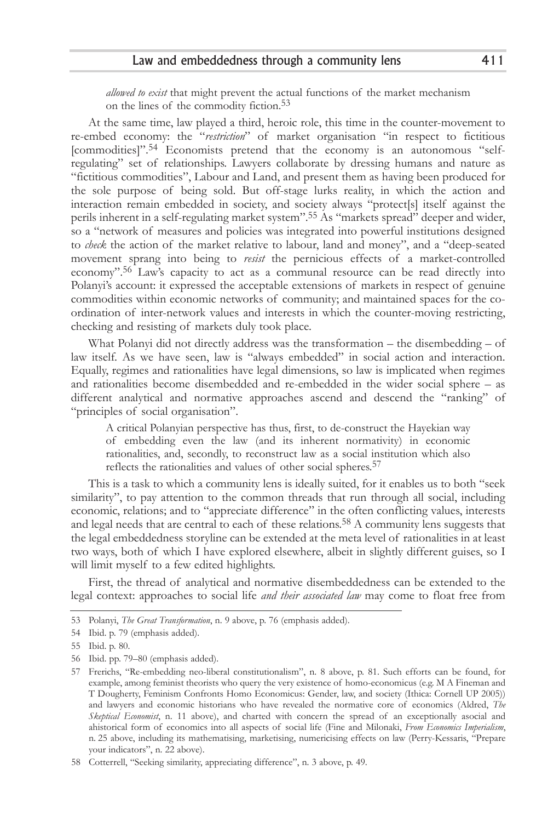#### Law and embeddedness through a community lens 411

*allowed to exist* that might prevent the actual functions of the market mechanism on the lines of the commodity fiction.53

At the same time, law played a third, heroic role, this time in the counter-movement to re-embed economy: the "*restriction*" of market organisation "in respect to fictitious [commodities]".54 Economists pretend that the economy is an autonomous "selfregulating" set of relationships. Lawyers collaborate by dressing humans and nature as "fictitious commodities", Labour and Land, and present them as having been produced for the sole purpose of being sold. But off-stage lurks reality, in which the action and interaction remain embedded in society, and society always "protect[s] itself against the perils inherent in a self-regulating market system".55 As "markets spread" deeper and wider, so a "network of measures and policies was integrated into powerful institutions designed to *check* the action of the market relative to labour, land and money", and a "deep-seated movement sprang into being to *resist* the pernicious effects of a market-controlled economy".56 Law's capacity to act as a communal resource can be read directly into Polanyi's account: it expressed the acceptable extensions of markets in respect of genuine commodities within economic networks of community; and maintained spaces for the coordination of inter-network values and interests in which the counter-moving restricting, checking and resisting of markets duly took place.

What Polanyi did not directly address was the transformation – the disembedding – of law itself. As we have seen, law is "always embedded" in social action and interaction. Equally, regimes and rationalities have legal dimensions, so law is implicated when regimes and rationalities become disembedded and re-embedded in the wider social sphere – as different analytical and normative approaches ascend and descend the "ranking" of "principles of social organisation".

A critical Polanyian perspective has thus, first, to de-construct the Hayekian way of embedding even the law (and its inherent normativity) in economic rationalities, and, secondly, to reconstruct law as a social institution which also reflects the rationalities and values of other social spheres.<sup>57</sup>

This is a task to which a community lens is ideally suited, for it enables us to both "seek similarity", to pay attention to the common threads that run through all social, including economic, relations; and to "appreciate difference" in the often conflicting values, interests and legal needs that are central to each of these relations.<sup>58</sup> A community lens suggests that the legal embeddedness storyline can be extended at the meta level of rationalities in at least two ways, both of which I have explored elsewhere, albeit in slightly different guises, so I will limit myself to a few edited highlights.

First, the thread of analytical and normative disembeddedness can be extended to the legal context: approaches to social life *and their associated law* may come to float free from

<sup>53</sup> Polanyi, *The Great Transformation*, n. 9 above, p. 76 (emphasis added).

<sup>54</sup> Ibid. p. 79 (emphasis added).

<sup>55</sup> Ibid. p. 80.

<sup>56</sup> Ibid. pp. 79–80 (emphasis added).

<sup>57</sup> Frerichs, "Re-embedding neo-liberal constitutionalism", n. 8 above, p. 81. Such efforts can be found, for example, among feminist theorists who query the very existence of homo-economicus (e.g. M A Fineman and T Dougherty, Feminism Confronts Homo Economicus: Gender, law, and society (Ithica: Cornell UP 2005)) and lawyers and economic historians who have revealed the normative core of economics (Aldred, *The Skeptical Economist*, n. 11 above), and charted with concern the spread of an exceptionally asocial and ahistorical form of economics into all aspects of social life (Fine and Milonaki, *From Economics Imperialism*, n. 25 above, including its mathematising, marketising, numericising effects on law (Perry-Kessaris, "Prepare your indicators", n. 22 above).

<sup>58</sup> Cotterrell, "Seeking similarity, appreciating difference", n. 3 above, p. 49.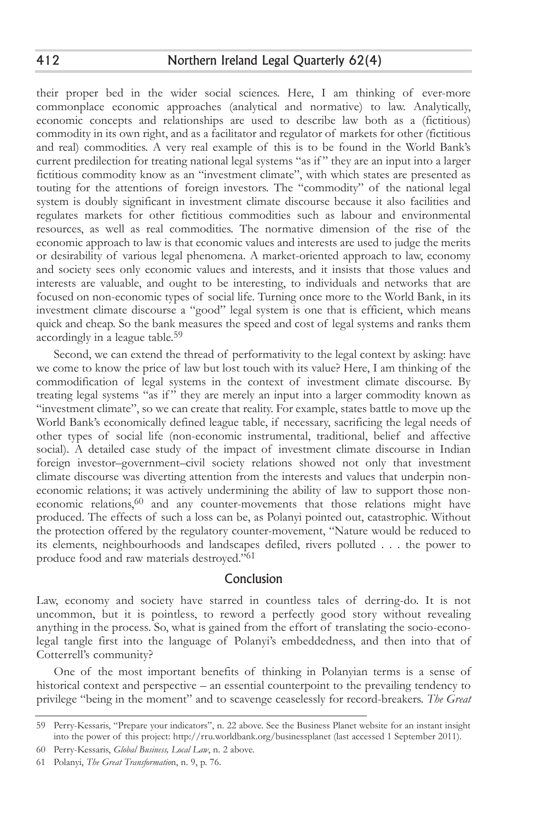their proper bed in the wider social sciences. Here, I am thinking of ever-more commonplace economic approaches (analytical and normative) to law. Analytically, economic concepts and relationships are used to describe law both as a (fictitious) commodity in its own right, and as a facilitator and regulator of markets for other (fictitious and real) commodities. A very real example of this is to be found in the World Bank's current predilection for treating national legal systems "as if " they are an input into a larger fictitious commodity know as an "investment climate", with which states are presented as touting for the attentions of foreign investors. The "commodity" of the national legal system is doubly significant in investment climate discourse because it also facilities and regulates markets for other fictitious commodities such as labour and environmental resources, as well as real commodities. The normative dimension of the rise of the economic approach to law is that economic values and interests are used to judge the merits or desirability of various legal phenomena. A market-oriented approach to law, economy and society sees only economic values and interests, and it insists that those values and interests are valuable, and ought to be interesting, to individuals and networks that are focused on non-economic types of social life. Turning once more to the World Bank, in its investment climate discourse a "good" legal system is one that is efficient, which means quick and cheap. So the bank measures the speed and cost of legal systems and ranks them accordingly in a league table.59

Second, we can extend the thread of performativity to the legal context by asking: have we come to know the price of law but lost touch with its value? Here, I am thinking of the commodification of legal systems in the context of investment climate discourse. By treating legal systems "as if" they are merely an input into a larger commodity known as "investment climate", so we can create that reality. For example, states battle to move up the World Bank's economically defined league table, if necessary, sacrificing the legal needs of other types of social life (non-economic instrumental, traditional, belief and affective social). A detailed case study of the impact of investment climate discourse in Indian foreign investor–government–civil society relations showed not only that investment climate discourse was diverting attention from the interests and values that underpin noneconomic relations; it was actively undermining the ability of law to support those noneconomic relations,<sup>60</sup> and any counter-movements that those relations might have produced. The effects of such a loss can be, as Polanyi pointed out, catastrophic. Without the protection offered by the regulatory counter-movement, "Nature would be reduced to its elements, neighbourhoods and landscapes defiled, rivers polluted . . . the power to produce food and raw materials destroyed."61

### Conclusion

Law, economy and society have starred in countless tales of derring-do. It is not uncommon, but it is pointless, to reword a perfectly good story without revealing anything in the process. So, what is gained from the effort of translating the socio-econolegal tangle first into the language of Polanyi's embeddedness, and then into that of Cotterrell's community?

One of the most important benefits of thinking in Polanyian terms is a sense of historical context and perspective – an essential counterpoint to the prevailing tendency to privilege "being in the moment" and to scavenge ceaselessly for record-breakers. *The Great*

<sup>59</sup> Perry-Kessaris, "Prepare your indicators", n. 22 above. See the Business Planet website for an instant insight into the power of this project: http://rru.worldbank.org/businessplanet (last accessed 1 September 2011).

<sup>60</sup> Perry-Kessaris, *Global Business, Local Law*, n. 2 above.

<sup>61</sup> Polanyi, *The Great Transformatio*n, n. 9, p. 76.